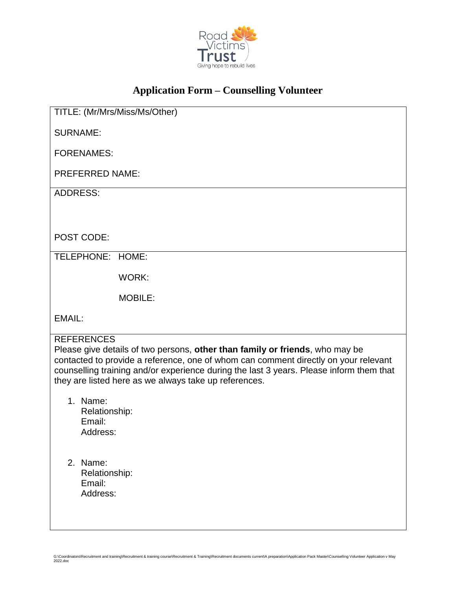

## **Application Form – Counselling Volunteer**

TITLE: (Mr/Mrs/Miss/Ms/Other) SURNAME: FORENAMES: PREFERRED NAME: ADDRESS: POST CODE: TELEPHONE: HOME: WORK: MOBILE: EMAIL: **REFERENCES** Please give details of two persons, **other than family or friends**, who may be contacted to provide a reference, one of whom can comment directly on your relevant counselling training and/or experience during the last 3 years. Please inform them that they are listed here as we always take up references. 1. Name: Relationship: Email: Address: 2. Name: Relationship: Email: Address:

G:\Coordinators\Recruitment and training\Recruitment & training course\Recruitment & Training\Recruitment documents current\A preparation\Application Pack Master\Counselling Volunteer Application v May 2022.doc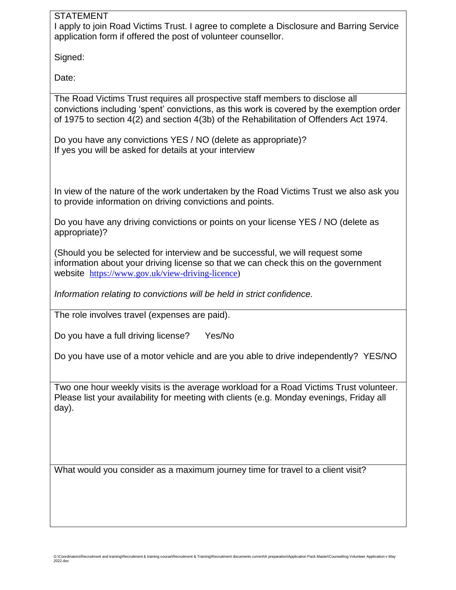## STATEMENT

I apply to join Road Victims Trust. I agree to complete a Disclosure and Barring Service application form if offered the post of volunteer counsellor.

Signed:

Date:

The Road Victims Trust requires all prospective staff members to disclose all convictions including 'spent' convictions, as this work is covered by the exemption order of 1975 to section 4(2) and section 4(3b) of the Rehabilitation of Offenders Act 1974.

Do you have any convictions YES / NO (delete as appropriate)? If yes you will be asked for details at your interview

In view of the nature of the work undertaken by the Road Victims Trust we also ask you to provide information on driving convictions and points.

Do you have any driving convictions or points on your license YES / NO (delete as appropriate)?

(Should you be selected for interview and be successful, we will request some information about your driving license so that we can check this on the government website [https://www.gov.uk/view-driving-licence\)](https://www.gov.uk/view-driving-licence)

*Information relating to convictions will be held in strict confidence.*

The role involves travel (expenses are paid).

Do you have a full driving license? Yes/No

Do you have use of a motor vehicle and are you able to drive independently? YES/NO

Two one hour weekly visits is the average workload for a Road Victims Trust volunteer. Please list your availability for meeting with clients (e.g. Monday evenings, Friday all day).

What would you consider as a maximum journey time for travel to a client visit?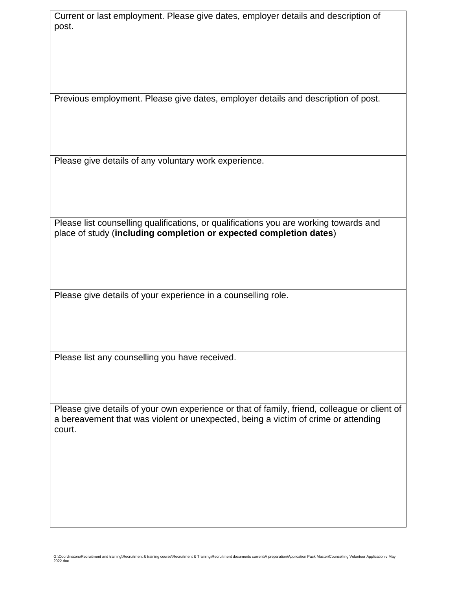Current or last employment. Please give dates, employer details and description of post.

Previous employment. Please give dates, employer details and description of post.

Please give details of any voluntary work experience.

Please list counselling qualifications, or qualifications you are working towards and place of study (**including completion or expected completion dates**)

Please give details of your experience in a counselling role.

Please list any counselling you have received.

Please give details of your own experience or that of family, friend, colleague or client of a bereavement that was violent or unexpected, being a victim of crime or attending court.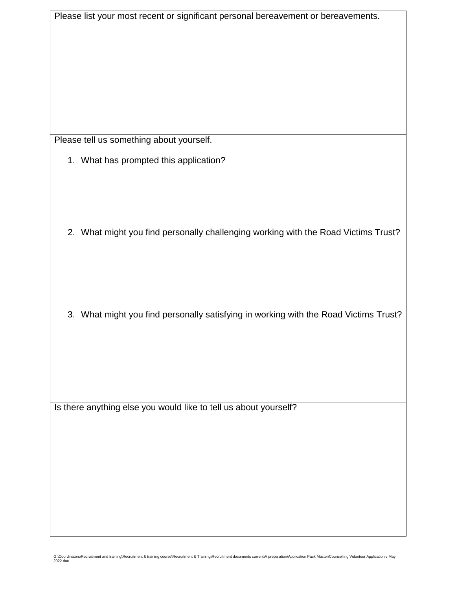| Please list your most recent or significant personal bereavement or bereavements.    |
|--------------------------------------------------------------------------------------|
|                                                                                      |
|                                                                                      |
|                                                                                      |
|                                                                                      |
|                                                                                      |
|                                                                                      |
|                                                                                      |
|                                                                                      |
|                                                                                      |
| Please tell us something about yourself.                                             |
| 1. What has prompted this application?                                               |
|                                                                                      |
|                                                                                      |
|                                                                                      |
|                                                                                      |
|                                                                                      |
| 2. What might you find personally challenging working with the Road Victims Trust?   |
|                                                                                      |
|                                                                                      |
|                                                                                      |
|                                                                                      |
|                                                                                      |
| 3. What might you find personally satisfying in working with the Road Victims Trust? |
|                                                                                      |
|                                                                                      |
|                                                                                      |
|                                                                                      |
|                                                                                      |
|                                                                                      |
|                                                                                      |
| Is there anything else you would like to tell us about yourself?                     |
|                                                                                      |
|                                                                                      |
|                                                                                      |
|                                                                                      |
|                                                                                      |
|                                                                                      |